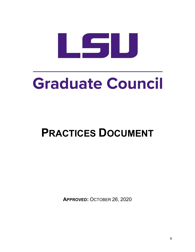

# Graduate Council

# **PRACTICES DOCUMENT**

**APPROVED:** OCTOBER 26, 2020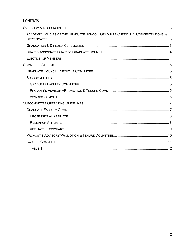# **CONTENTS**

| ACADEMIC POLICIES OF THE GRADUATE SCHOOL, GRADUATE CURRICULA, CONCENTRATIONS, & |  |
|---------------------------------------------------------------------------------|--|
|                                                                                 |  |
|                                                                                 |  |
|                                                                                 |  |
|                                                                                 |  |
|                                                                                 |  |
|                                                                                 |  |
|                                                                                 |  |
|                                                                                 |  |
|                                                                                 |  |
|                                                                                 |  |
|                                                                                 |  |
|                                                                                 |  |
|                                                                                 |  |
|                                                                                 |  |
|                                                                                 |  |
|                                                                                 |  |
|                                                                                 |  |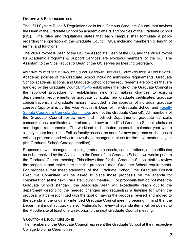# <span id="page-2-0"></span>**OVERVIEW & RESPONSIBILITIES**

The LSU System Rules & Regulations calls for a Campus Graduate Council that advises the Dean of the Graduate School on academic affairs and policies of the Graduate School (GS). The rules and regulations states that each campus shall formulate a policy regarding the operation of the Graduate Council (GC), including membership, length of terms, and functions.

The Vice Provost & Dean of the GS, the Associate Dean of the GS, and the Vice Provost for Academic Programs & Support Services are *ex-officio* members of the GC. The Assistant to the Vice Provost & Dean of the GS serves as Meeting Secretary.

<span id="page-2-1"></span>ACADEMIC POLICIES OF THE GRADUATE SCHOOL, GRADUATE CURRICULA, CONCENTRATIONS, & CERTIFICATES

Academic policies of the Graduate School including admission requirements, Graduate School academic actions, and Graduate School degree requirements are policies that are handled by the Graduate Council. [PS-45](https://www.lsu.edu/policies/ps/ps_45.pdf) establishes the role of the Graduate Council in the approval procedure for establishing new and making changes to existing departmental requirements for graduate curricula, new graduate certificates, graduate concentrations, and graduate minors. Excluded is the approval of individual graduate courses (approval is by the Vice Provost & Dean of the Graduate School and [Faculty](https://www.lsu.edu/senate/about/coursesandcurricula.php)  [Senate Courses & Curricula Committee,](https://www.lsu.edu/senate/about/coursesandcurricula.php) and not the Graduate Council). All members of the Graduate Council review new and modified Departmental graduate curricula, concentrations, certificates and minors and new or modified Graduate School admission and degree requirements. The workload is distributed across the calendar year with a slightly higher load in the Fall as faculty assess the need for new programs or changes to existing programs and wish to have those changes in place for the next academic year (the Graduate School Catalog deadline).

Proposed new or changes to existing graduate curricula, concentrations, and certificates must be received by the Assistant to the Dean of the Graduate School two weeks prior to the Graduate Council meeting. This allows time for the Graduate School staff to review the proposals and make sure that the proposals meet Graduate School requirements. For proposals that meet standards of the Graduate School, the Graduate Council Executive Committee will be asked to place those proposals on the agenda for consideration at the next Graduate Council meeting. For proposals that do not meet the Graduate School standard, the Associate Dean will expediently reach out to the department describing the needed changes and requesting a timeline for when the proposal will be resubmitted with the goal of having the proposal revised and moved to the agenda at the originally intended Graduate Council meeting bearing in mind that the Department must act quickly also. Materials for review of agenda items will be posted to the Moodle site at least one week prior to the next Graduate Council meeting.

# <span id="page-2-2"></span>GRADUATION & DIPLOMA CEREMONIES

The members of the Graduate Council represent the Graduate School at their respective College Diploma Ceremonies.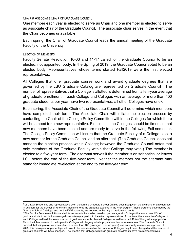# <span id="page-3-0"></span>CHAIR & ASSOCIATE CHAIR OF GRADUATE COUNCIL

One member each year is elected to serve as Chair and one member is elected to serve as associate chair of the Graduate Council. The associate chair serves in the event that the Chair becomes unavailable.

Each spring, the Chair of Graduate Council leads the annual meeting of the Graduate Faculty of the University.

# <span id="page-3-1"></span>ELECTION OF MEMBERS

Faculty Senate Resolution 10-03 and 11-17 called for the Graduate Council to be an elected, not appointed, body. In the Spring of 2019, the Graduate Council voted to be an elected body. Representatives whose terms started Fall2019 were the first elected representatives.

All Colleges that offer graduate course work and award graduate degrees that are governed by the LSU Graduate Catalog are represented on Graduate Council[1.](#page-3-2) The number of representatives that a College is allotted is determined from a ten-year average of graduate enrollment in each College and Colleges with an average of more than 400 graduate students per year have two representatives, all other Colleges have one<sup>[2](#page-3-3)</sup>.

Each spring, the Associate Chair of the Graduate Council will determine which members have completed their term. The Associate Chair will initiate the election process by contacting the Chair of the College Policy Committee within the Colleges for which there will be a need for a new representative. Elections in the Colleges should be timed so that new members have been elected and are ready to serve in the following Fall semester. The College Policy Committee will insure that the Graduate Faculty of a College elect a new member for the Graduate Council and an alternant. (The Graduate Council does not manage the election process within College; however, the Graduate Council notes that only members of the Graduate Faculty within that College may vote.) The member is elected to a five-year term. The alternant serves if the member is on sabbatical or leaves LSU before the end of the five–year term. Neither the member nor the alternant may stand for immediate re-election at the end to the five-year term.

<span id="page-3-2"></span><sup>1</sup> LSU Law School has one representative even though the Graduate School Catalog does not govern the awarding of Law degrees. In addition, for the School of Veterinary Medicine, only the graduate students in the PhD program (those programs governed by the Graduate School Catalog), and not the DVM students, are counted in the tally of graduate students.

<span id="page-3-3"></span> $^2$  The Faculty Senate resolutions called for representatives to be based on percentage with Colleges that more than 11% of graduate student population averaged over a ten-year period to have two representatives. At the time, there were ten Colleges. If each College had had the same number of graduate students, then all Colleges would have had 10% of the graduate population. Thus, the intent seemed to be to provide Colleges with large graduate populations two representatives. The Graduate Council decided that using a simple break of more or less than 400 (averaged over ten years) was an equally reasonable approach. In 2029, this breakpoint or percentage will have to be reassessed as the number of Colleges might have changed and the number of graduate students will have changed. The intent is that College with large graduate enrollments have two representatives.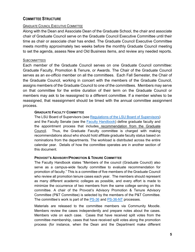# <span id="page-4-0"></span>**COMMITTEE STRUCTURE**

# <span id="page-4-1"></span>GRADUATE COUNCIL EXECUTIVE COMMITTEE

Along with the Dean and Associate Dean of the Graduate School, the chair and associate chair of Graduate Council serve on the Graduate Council Executive Committee until their time as chair or associate chair has ended. The Graduate Council Executive Committee meets monthly approximately two weeks before the monthly Graduate Council meeting to set the agenda, assess New and Old Business items, and review any needed reports.

### <span id="page-4-2"></span>**SUBCOMMITTEES**

Each member of the Graduate Council serves on one Graduate Council committee: Graduate Faculty, Promotion & Tenure, or Awards. The Chair of the Graduate Council serves as an *ex-officio* member on all the committees. Each Fall Semester, the Chair of the Graduate Council, working in concert with the members of the Graduate Council, assigns members of the Graduate Council to one of the committees. Members may serve on that committee for the entire duration of their term on the Graduate Council or members may ask to be reassigned to a different committee. If a member wishes to be reassigned, that reassignment should be timed with the annual committee assignment process.

#### <span id="page-4-3"></span>**GRADUATE FACULTY COMMITTEE**

The LSU Board of Supervisors (see [Regulations of the LSU Board of Supervisors\)](https://www.lsu.edu/bos/docs/regulations-changes-for-2018.pdf) and the Faculty Senate (see the [Faculty Handbook\)](https://www.lsu.edu/senate/files/lsufacultyhandbook.pdf) define graduate faculty and the appointment process that includes recommendation from the Graduate Council. Thus, the Graduate Faculty committee is charged with making recommendations about who should hold affiliate graduate faculty status based on nominations from the departments. The workload is distributed across the entire calendar year. Details of how the committee operates are in another section of this document.

### <span id="page-4-4"></span>**PROVOST'S ADVISORY/PROMOTION & TENURE COMMITTEE**

The Faculty Handbook states "Members of the council (Graduate Council) also serve as a campus-wide faculty committee to evaluate recommendation for promotion of faculty." This is a committee of five members of the Graduate Council who review all promotion tenure cases each year. The members should represent as many different academic colleges as possible, and every effort is made to minimize the occurrence of two members from the same college serving on this committee. A chair of the Provost's Advisory Promotion & Tenure Advisory Committee (P&T Committee) is selected by the members of the P&T Committee. The committee's work is part of the [PS-36](https://www.lsu.edu/policies/ps/ps_36t.pdf) and [PS-36-NT](https://lsu.edu/hrm/pdfs/PS-36-NT_Initial_Appointments_Reappointments_Annual_Review_and_Promotions_for_Faculty_Other_Than_Tenure_item50873.pdf) processes.

Materials are released to the committee members via Community Moodle. Members review the cases independently and prepare notes about the cases. Members vote on each case. Cases that have received split votes from the committee membership, cases that have received split votes along the promotion process (for instance, when the Dean and the Department make different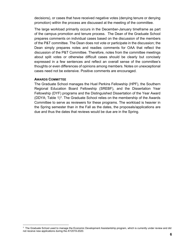decisions), or cases that have received negative votes (denying tenure or denying promotion) within the process are discussed at the meeting of the committee.

The large workload primarily occurs in the December-January timeframe as part of the campus promotion and tenure process. The Dean of the Graduate School prepares comments on individual cases based on the discussion of the members of the P&T committee. The Dean does not vote or participate in the discussion; the Dean simply prepares notes and readies comments for OAA that reflect the discussion of the P&T Committee. Therefore, notes from the committee meetings about split votes or otherwise difficult cases should be clearly but concisely expressed in a few sentences and reflect an overall sense of the committee's thoughts or even differences of opinions among members. Notes on unexceptional cases need not be extensive. Positive comments are encouraged.

#### <span id="page-5-0"></span>**AWARDS COMMITTEE**

The Graduate School manages the Huel Perkins Fellowship (HPF), the Southern Regional Education Board Fellowship (SREBF), and the Dissertation Year Fellowship (DYF) programs and the Distinguished Dissertation of the Year Award (DDYA; Table  $1)^3$  $1)^3$ . The Graduate School relies on the membership of the Awards Committee to serve as reviewers for these programs. The workload is heavier in the Spring semester than in the Fall as the dates, the proposals/applications are due and thus the dates that reviews would be due are in the Spring.

<span id="page-5-1"></span><sup>&</sup>lt;sup>3</sup> The Graduate School used to manage the Economic Development Assistantship program, which is currently under review and did not receive new applications during the AY2019-2020.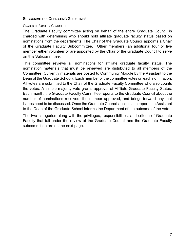# <span id="page-6-0"></span>**SUBCOMMITTEE OPERATING GUIDELINES**

# <span id="page-6-1"></span>GRADUATE FACULTY COMMITTEE

The Graduate Faculty committee acting on behalf of the entire Graduate Council is charged with determining who should hold affiliate graduate faculty status based on nominations from the departments. The Chair of the Graduate Council appoints a Chair of the Graduate Faculty Subcommittee. Other members (an additional four or five member either volunteer or are appointed by the Chair of the Graduate Council to serve on this Subcommittee.

This committee reviews all nominations for affiliate graduate faculty status. The nomination materials that must be reviewed are distributed to all members of the Committee (Currently materials are posted to Community Moodle by the Assistant to the Dean of the Graduate School). Each member of the committee votes on each nomination. All votes are submitted to the Chair of the Graduate Faculty Committee who also counts the votes. A simple majority vote grants approval of Affiliate Graduate Faculty Status. Each month, the Graduate Faculty Committee reports to the Graduate Council about the number of nominations received, the number approved, and brings forward any that issues need to be discussed. Once the Graduate Council accepts the report, the Assistant to the Dean of the Graduate School informs the Department of the outcome of the vote.

The two categories along with the privileges, responsibilities, and criteria of Graduate Faculty that fall under the review of the Graduate Council and the Graduate Faculty subcommittee are on the next page.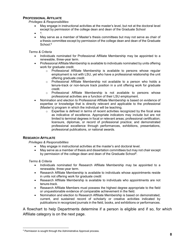#### <span id="page-7-0"></span>**PROFESSIONAL AFFILIATE**

#### *Privileges & Responsibilities*

- May engage in instructional activities at the master's level, but not at the doctoral level except by permission of the college dean and dean of the Graduate School
- $\bullet$
- May serve as a member of Master's thesis committees but may not serve as chair of a thesis committee except by permission of the college dean and dean of the Graduate School.<sup>6</sup>

#### *Terms & Criteria*

- Individuals nominated for Professional Affiliate Membership may be appointed to a renewable, three-year term.
- Professional Affiliate Membership is available to individuals nominated by units offering work for graduate credit.
	- $\circ$  Professional Affiliate Membership is available to persons whose regular employment is not with LSU, yet who have a professional relationship the unit offering graduate credit.
	- $\circ$  Professional Affiliate Membership not available to a person who holds a tenure-track or non-tenure track position in a unit offering work for graduate credit.
	- o Professional Affiliate Membership is not available to persons whose professional activities are a function of their LSU employment.
- Nomination and election to Professional Affiliate Membership is based on evidence of expertise or knowledge that is directly relevant and applicable to the professional (Master's) program in which the individual will be teaching.
	- $\circ$  Expertise is defined in terms of recent activities recognized by the focal area as indicative of excellence. Appropriate indicators may include but are not limited to terminal degrees in focal or relevant areas; professional certification; licensure, diplomas, or record of professional practice; and demonstrated professional excellence through performances, exhibitions, presentations, professional publications, or national awards.

#### <span id="page-7-1"></span>**RESEARCH AFFILIATE**

#### *Privileges & Responsibilities*

- May engage in instructional activities at the master's and doctoral level.
- May serve as a member of thesis and dissertation committees but may not chair except by permission of the college dean and dean of the Graduate School<sup>6</sup>.

#### *Terms & Criteria*

- Individuals nominated for Research Affiliate Membership may be appointed to a renewable, three-year term.
- Research Affiliate Membership is available to individuals whose appointments reside in units not offering work for graduate credit
- Research Affiliate Membership is available to individuals who appointments are not tenure-track.
- Research Affiliate Members must possess the highest degree appropriate to the field or unquestionable evidence of comparable achievement in the field.
- Nomination and election to Research Affiliate Membership is based on demonstrated, current, and sustained record of scholarly or creative activities indicated by publications in recognized journals in the field, books, and exhibitions or performances.

A flowchart to help Departments determine if a person is eligible and if so, for which Affiliate category is on the next page.

<span id="page-7-2"></span><sup>4</sup> Permission is sought through the Administrative Approval process.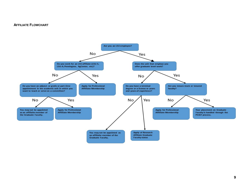#### **AFFILIATE FLOWCHART**

<span id="page-8-0"></span>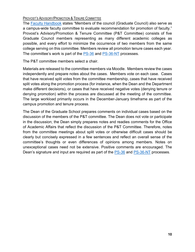# <span id="page-9-0"></span>PROVOST'S ADVISORY/PROMOTION & TENURE COMMITTEE

The [Faculty Handbook](https://lsu.edu/senate/files/lsufacultyhandbook.pdf) states "Members of the council (Graduate Council) also serve as a campus-wide faculty committee to evaluate recommendation for promotion of faculty." Provost's Advisory/Promotion & Tenure Committee (P&T Committee) consists of five Graduate Council members representing as many different academic colleges as possible, and every effort to minimize the occurrence of two members from the same college serving on this committee. Members review all promotion tenure cases each year. The committee's work is part of the [PS-36](https://www.lsu.edu/policies/ps/ps_36t.pdf) and [PS-36-NT](https://lsu.edu/hrm/pdfs/PS-36-NT_Initial_Appointments_Reappointments_Annual_Review_and_Promotions_for_Faculty_Other_Than_Tenure_item50873.pdf) processes.

The P&T committee members select a chair.

Materials are released to the committee members via Moodle. Members review the cases independently and prepare notes about the cases. Members vote on each case. Cases that have received split votes from the committee membership, cases that have received split votes along the promotion process (for instance, when the Dean and the Department make different decisions), or cases that have received negative votes (denying tenure or denying promotion) within the process are discussed at the meeting of the committee. The large workload primarily occurs in the December-January timeframe as part of the campus promotion and tenure process.

The Dean of the Graduate School prepares comments on individual cases based on the discussion of the members of the P&T committee. The Dean does not vote or participate in the discussion; the Dean simply prepares notes and readies comments for the Office of Academic Affairs that reflect the discussion of the P&T Committee. Therefore, notes from the committee meetings about split votes or otherwise difficult cases should be clearly but concisely expressed in a few sentences and reflect an overall sense of the committee's thoughts or even differences of opinions among members. Notes on unexceptional cases need not be extensive. Positive comments are encouraged. The Dean's signature and input are required as part of the **PS-36 and PS-36-NT** processes.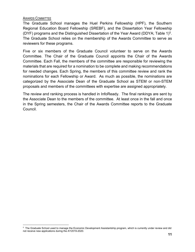# <span id="page-10-0"></span>AWARDS COMMITTEE

The Graduate School manages the Huel Perkins Fellowship (HPF), the Southern Regional Education Board Fellowship (SREBF), and the Dissertation Year Fellowship (DYF) programs and the Distinguished Dissertation of the Year Award (DDYA; Table 1)[5.](#page-10-1) The Graduate School relies on the membership of the Awards Committee to serve as reviewers for these programs.

Five or six members of the Graduate Council volunteer to serve on the Awards Committee. The Chair of the Graduate Council appoints the Chair of the Awards Committee. Each Fall, the members of the committee are responsible for reviewing the materials that are required for a nomination to be complete and making recommendations for needed changes. Each Spring, the members of this committee review and rank the nominations for each Fellowship or Award. As much as possible, the nominations are categorized by the Associate Dean of the Graduate School as STEM or non-STEM proposals and members of the committees with expertise are assigned appropriately.

The review and ranking process is handled in InfoReady. The final rankings are sent by the Associate Dean to the members of the committee. At least once in the fall and once in the Spring semesters, the Chair of the Awards Committee reports to the Graduate Council.

<span id="page-10-1"></span><sup>&</sup>lt;sup>5</sup> The Graduate School used to manage the Economic Development Assistantship program, which is currently under review and did not receive new applications during the AY2019-2020.